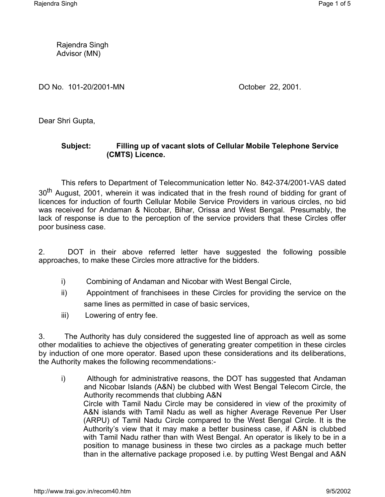Rajendra Singh Advisor (MN)

DO No. 101-20/2001-MN October 22, 2001.

Dear Shri Gupta,

## **Subject: Filling up of vacant slots of Cellular Mobile Telephone Service (CMTS) Licence.**

This refers to Department of Telecommunication letter No. 842-374/2001-VAS dated 30<sup>th</sup> August, 2001, wherein it was indicated that in the fresh round of bidding for grant of licences for induction of fourth Cellular Mobile Service Providers in various circles, no bid was received for Andaman & Nicobar, Bihar, Orissa and West Bengal. Presumably, the lack of response is due to the perception of the service providers that these Circles offer poor business case.

2. DOT in their above referred letter have suggested the following possible approaches, to make these Circles more attractive for the bidders.

- i) Combining of Andaman and Nicobar with West Bengal Circle,
- ii) Appointment of franchisees in these Circles for providing the service on the same lines as permitted in case of basic services,
- iii) Lowering of entry fee.

3. The Authority has duly considered the suggested line of approach as well as some other modalities to achieve the objectives of generating greater competition in these circles by induction of one more operator. Based upon these considerations and its deliberations, the Authority makes the following recommendations:-

i) Although for administrative reasons, the DOT has suggested that Andaman and Nicobar Islands (A&N) be clubbed with West Bengal Telecom Circle, the Authority recommends that clubbing A&N Circle with Tamil Nadu Circle may be considered in view of the proximity of A&N islands with Tamil Nadu as well as higher Average Revenue Per User (ARPU) of Tamil Nadu Circle compared to the West Bengal Circle. It is the Authority's view that it may make a better business case, if A&N is clubbed with Tamil Nadu rather than with West Bengal. An operator is likely to be in a position to manage business in these two circles as a package much better than in the alternative package proposed i.e. by putting West Bengal and A&N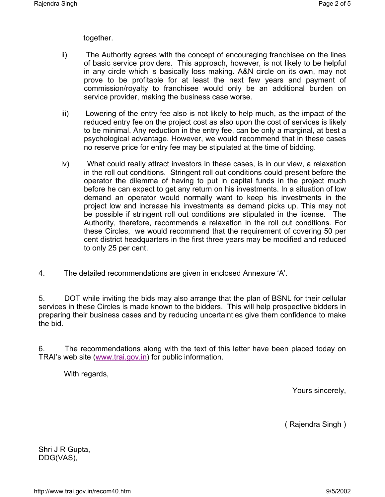together.

- ii) The Authority agrees with the concept of encouraging franchisee on the lines of basic service providers. This approach, however, is not likely to be helpful in any circle which is basically loss making. A&N circle on its own, may not prove to be profitable for at least the next few years and payment of commission/royalty to franchisee would only be an additional burden on service provider, making the business case worse.
- iii) Lowering of the entry fee also is not likely to help much, as the impact of the reduced entry fee on the project cost as also upon the cost of services is likely to be minimal. Any reduction in the entry fee, can be only a marginal, at best a psychological advantage. However, we would recommend that in these cases no reserve price for entry fee may be stipulated at the time of bidding.
- iv) What could really attract investors in these cases, is in our view, a relaxation in the roll out conditions. Stringent roll out conditions could present before the operator the dilemma of having to put in capital funds in the project much before he can expect to get any return on his investments. In a situation of low demand an operator would normally want to keep his investments in the project low and increase his investments as demand picks up. This may not be possible if stringent roll out conditions are stipulated in the license. The Authority, therefore, recommends a relaxation in the roll out conditions. For these Circles, we would recommend that the requirement of covering 50 per cent district headquarters in the first three years may be modified and reduced to only 25 per cent.
- 4. The detailed recommendations are given in enclosed Annexure 'A'.

5. DOT while inviting the bids may also arrange that the plan of BSNL for their cellular services in these Circles is made known to the bidders. This will help prospective bidders in preparing their business cases and by reducing uncertainties give them confidence to make the bid.

6. The recommendations along with the text of this letter have been placed today on TRAI's web site (www.trai.gov.in) for public information.

With regards,

Yours sincerely,

( Rajendra Singh )

Shri J R Gupta, DDG(VAS),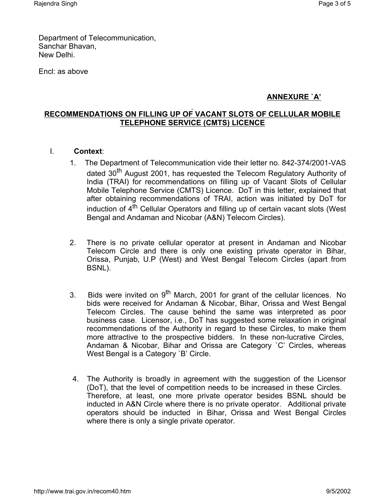Department of Telecommunication, Sanchar Bhavan, New Delhi.

Encl: as above

# **ANNEXURE `A'**

### **RECOMMENDATIONS ON FILLING UP OF VACANT SLOTS OF CELLULAR MOBILE TELEPHONE SERVICE (CMTS) LICENCE**

- I. **Context**:
	- 1. The Department of Telecommunication vide their letter no. 842-374/2001-VAS dated 30<sup>th</sup> August 2001, has requested the Telecom Regulatory Authority of India (TRAI) for recommendations on filling up of Vacant Slots of Cellular Mobile Telephone Service (CMTS) Licence. DoT in this letter, explained that after obtaining recommendations of TRAI, action was initiated by DoT for induction of 4<sup>th</sup> Cellular Operators and filling up of certain vacant slots (West Bengal and Andaman and Nicobar (A&N) Telecom Circles).
	- 2. There is no private cellular operator at present in Andaman and Nicobar Telecom Circle and there is only one existing private operator in Bihar, Orissa, Punjab, U.P (West) and West Bengal Telecom Circles (apart from BSNL).
	- 3. Bids were invited on 9<sup>th</sup> March, 2001 for grant of the cellular licences. No bids were received for Andaman & Nicobar, Bihar, Orissa and West Bengal Telecom Circles. The cause behind the same was interpreted as poor business case. Licensor, i.e., DoT has suggested some relaxation in original recommendations of the Authority in regard to these Circles, to make them more attractive to the prospective bidders. In these non-lucrative Circles, Andaman & Nicobar, Bihar and Orissa are Category `C' Circles, whereas West Bengal is a Category `B' Circle.
	- 4. The Authority is broadly in agreement with the suggestion of the Licensor (DoT), that the level of competition needs to be increased in these Circles. Therefore, at least, one more private operator besides BSNL should be inducted in A&N Circle where there is no private operator. Additional private operators should be inducted in Bihar, Orissa and West Bengal Circles where there is only a single private operator.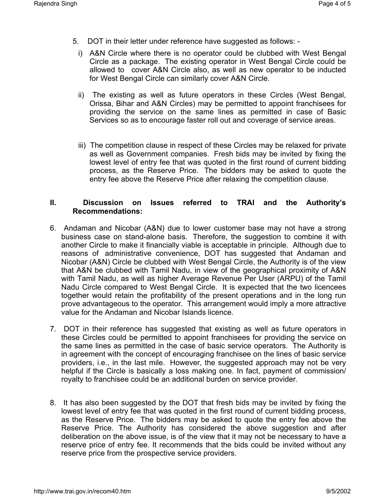- 5. DOT in their letter under reference have suggested as follows:
	- i) A&N Circle where there is no operator could be clubbed with West Bengal Circle as a package. The existing operator in West Bengal Circle could be allowed to cover A&N Circle also, as well as new operator to be inducted for West Bengal Circle can similarly cover A&N Circle.
	- ii) The existing as well as future operators in these Circles (West Bengal, Orissa, Bihar and A&N Circles) may be permitted to appoint franchisees for providing the service on the same lines as permitted in case of Basic Services so as to encourage faster roll out and coverage of service areas.
	- iii) The competition clause in respect of these Circles may be relaxed for private as well as Government companies. Fresh bids may be invited by fixing the lowest level of entry fee that was quoted in the first round of current bidding process, as the Reserve Price. The bidders may be asked to quote the entry fee above the Reserve Price after relaxing the competition clause.

### **II. Discussion on Issues referred to TRAI and the Authority's Recommendations:**

- 6. Andaman and Nicobar (A&N) due to lower customer base may not have a strong business case on stand-alone basis. Therefore, the suggestion to combine it with another Circle to make it financially viable is acceptable in principle. Although due to reasons of administrative convenience, DOT has suggested that Andaman and Nicobar (A&N) Circle be clubbed with West Bengal Circle, the Authority is of the view that A&N be clubbed with Tamil Nadu, in view of the geographical proximity of A&N with Tamil Nadu, as well as higher Average Revenue Per User (ARPU) of the Tamil Nadu Circle compared to West Bengal Circle. It is expected that the two licencees together would retain the profitability of the present operations and in the long run prove advantageous to the operator. This arrangement would imply a more attractive value for the Andaman and Nicobar Islands licence.
- 7. DOT in their reference has suggested that existing as well as future operators in these Circles could be permitted to appoint franchisees for providing the service on the same lines as permitted in the case of basic service operators. The Authority is in agreement with the concept of encouraging franchisee on the lines of basic service providers, i.e., in the last mile. However, the suggested approach may not be very helpful if the Circle is basically a loss making one. In fact, payment of commission/ royalty to franchisee could be an additional burden on service provider.
- 8. It has also been suggested by the DOT that fresh bids may be invited by fixing the lowest level of entry fee that was quoted in the first round of current bidding process, as the Reserve Price. The bidders may be asked to quote the entry fee above the Reserve Price. The Authority has considered the above suggestion and after deliberation on the above issue, is of the view that it may not be necessary to have a reserve price of entry fee. It recommends that the bids could be invited without any reserve price from the prospective service providers.